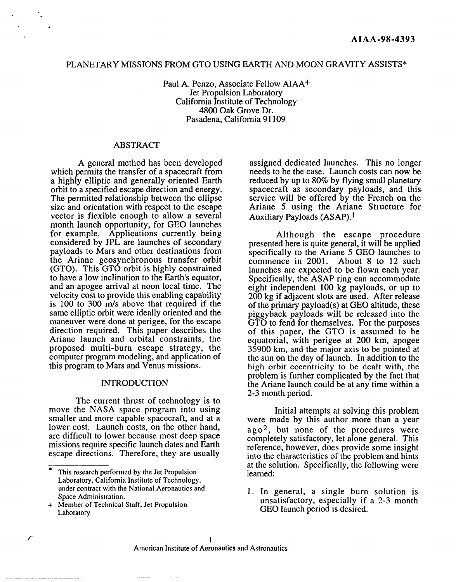# PLANETARY MISSIONS FROM GTO USING EARTH AND MOON GRAVITY ASSISTS\*

Paul A. Penzo, Associate Fellow AIAA+ Jet Propulsion Laboratory California Institute of Technology 4800 Oak Grove Dr. Pasadena, California 91109

#### ABSTRACT

A general method has been developed which permits the transfer of a spacecraft from a highly elliptic and generally oriented Earth orbit to a specified escape direction and energy. The permitted relationship between the ellipse size and orientation with respect to the escape vector is flexible enough to allow a several month launch opportunity, for GEO launches for example. Applications currently being considered by JPL are launches of secondary payloads to Mars and other destinations from the Ariane geosynchronous transfer orbit (GTO). This GTO orbit is highly constrained to have a low inclination to the Earth's equator, and an apogee arrival at noon local time. The velocity cost to provide this enabling capability is 100 to 300 m/s above that required if the same elliptic orbit were ideally oriented and the maneuver were done at perigee, for the escape direction required. This paper describes the Ariane launch and orbital constraints, the proposed multi-burn escape strategy, the computer program modeling, and application of this program to Mars and Venus missions.

#### INTRODUCTION

The current thrust of technology is to move the NASA space program into using smaller and more capable spacecraft, and at a lower cost. Launch costs, on the other hand, are difficult to lower because most deep space missions require specific launch dates and Earth escape directions. Therefore, they are usually

assigned dedicated launches. This no longer needs to be the case. Launch costs can now be reduced by up to 80% by flying small planetary spacecraft as secondary payloads, and this service will be offered by the French on the Ariane 5 using the Ariane Structure for Auxiliary Payloads (ASAP).1

Although the escape procedure presented here is quite general, it will be applied specifically to the Ariane 5 GEO launches to commence in 2001. About 8 to 12 such launches are expected to be flown each year. Specifically, the ASAP ring can accommodate eight independent 100 kg payloads, or up to 200 kg if adjacent slots are used. After release of the primary payload(s) at GEO altitude, these piggyback payloads will be released into the GTO to fend for themselves, For the purposes of this paper, the GTO is assumed to be equatorial, with perigee at 200 km, apogee 35900 km, and the major axis to be pointed at the sun on the day of launch, In addition to the high orbit eccentricity to be dealt with, the problem is further complicated by the fact that the Ariane launch could be at any time within a 2-3 month period.

Initial attempts at solving this problem were made by this author more than a year  $ago<sup>2</sup>$ , but none of the procedures were completely satisfactory, let alone general. This reference, however, does provide some insight into the characteristics of the problem and hints at the solution. Specifically, the following were learned:

1. In general, a single burn solution is unsatisfactory, especially if a 2-3 month GEO launch period is desired,

. .

<sup>\*</sup> This research performed by the Jet Propulsion Laboratory, California Institute of Technology, under contract with the National Aeronautics and Space Administration.

<sup>+</sup> Member of Technical Staff, Jet Propulsion Laboratory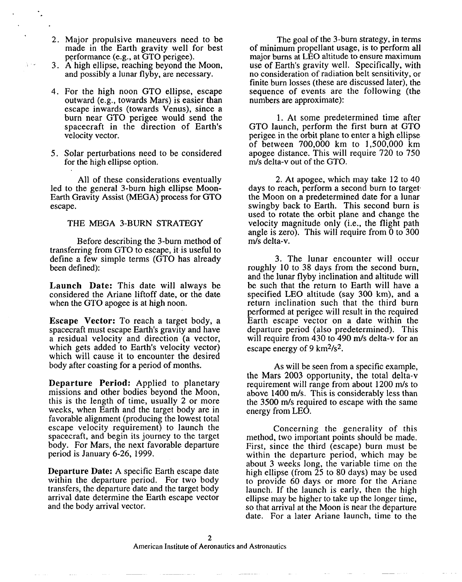2. Major propulsive maneuvers need to be made in the Earth gravity well for best performance (e.g., at GTO perigee).

.

- 3. A high ellipse, reaching beyond the Moon, and possibly a lunar flyby, are necessary.
- 4. For the high noon GTO ellipse, escap out ward (e.g., towards Mars) is easier than escape inwards (towards Venus), since a burn near GTO perigee would send the spacecraft in the direction of Earth's velocity vector.
- 5. Solar perturbations need to be considere for the high ellipse option.

led to the general 3-burn high ellipse Moon All of these considerations eventually Earth Gravity Assist (MEGA) process for GTO escape.

#### THE MEGA 3-BURN STRATEGY

Before describing the 3-burn method of transferring from GTO to escape, it is useful to define a few simple terms (GTO has already been defined):

**Launch Date:** This date will always be considered the Ariane liftoff date, or the date when the GTO apogee is at high noon.

**Escape Vector:** To reach a target body, a spacecraft must escape Earth's gravity and have a residual velocity and direction (a vector, which gets added to Earth's velocity vector) which will cause it to encounter the desired body after coasting for a period of months.

**Departure Period:** Applied to planetary missions and other bodies beyond the Moon, this is the length of time, usually 2 or more weeks, when Earth and the target body are in favorable alignment (producing the lowest total escape velocity requirement) to launch the spacecraft, and begin its journey to the target body. For Mars, the next favorable departure period is January 6-26, 1999.

**Departure Date:** A specific Earth escape date within the departure period. For two body transfers, the departure date and the target body arrival date determine the Earth escape vector and the body arrival vector.

The goal of the 3-burn strategy, in terms of minimum propellant usage, is to perform all major burns at LEO altitude to ensure maximum use of Earth's gravity well. Specifically, with no consideration of radiation belt sensitivity, or finite burn losses (these are discussed later), the sequence of events are the following (the numbers are approximate):

1. At some predetermined time after GTO launch, perform the first burn at GTO perigee in the orbit plane to enter a high ellipse of between 700,000 km to 1,500,000 km apogee distance. This will require 720 to 750 m/s delta-v out of the GTO.

2. At apogee, which may take 12 to 40 days to reach, perform a second burn to target the Moon on a predetermined date for a lunar swingby back to Earth. This second burn is used to rotate the orbit plane and change the velocity magnitude only (i.e., the flight path angle is zero). This will require from  $\overline{0}$  to 300 m/s delta-v.

3. The lunar encounter will occur roughly 10 to 38 days from the second burn, and the lunar flyby inclination and altitude will be such that the return to Earth will have a specified LEO altitude (say 300 km), and a return inclination such that the third burn performed at perigee will result in the required Earth escape vector on a date within the departure period (also predetermined). This will require from  $430$  to  $490$  m/s delta-v for an escape energy of 9 km $2/s^2$ .

As will be seen from a specific example, the Mars 2003 opportunity, the total delta-v requirement will range from about 1200 m/s to above 1400 m/s. This is considerably less than the 3500 m/s required to escape with the same energy from LEO.

Concerning the generality of this method, two important points should be made. First, since the third (escape) burn must be within the departure period, which may be about 3 weeks long, the variable time on the high ellipse (from 25 to 80 days) may be used to provide 60 days or more for the Ariane launch. If the launch is early, then the high ellipse may be higher to take up the longer time, so that arrival at the Moon is near the departure date. For a later Ariane launch, time to the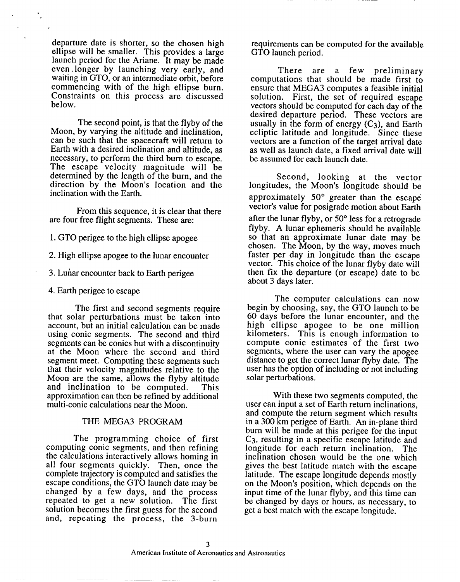departure date is shorter, so the chosen high ellipse will be smaller. This provides a large launch period for the Ariane. It may be made even ,longer by launching very early, and waiting in GTO, or an intermediate orbit, before commencing with of the high ellipse burn. Constraints on this process are discussed below.

The second point, is that the flyby of the Moon, by varying the altitude and inclination, can be such that the spacecraft will return to Earth with a desired inclination and altitude, as necessary, to perform the third burn to escape. The escape velocity magnitude will be determined by the length of the burn, and the direction by the Moon's location and the inclination with the Earth.

From this sequence, it is clear that there are four free flight segments. These are:

1. GTO perigee to the high ellipse apogee

2. High ellipse apogee to the lunar encounter

3. Luhar encounter back to Earth perigee

4. Earth perigee to escape

.

The first and second segments require that solar perturbations must be taken into account, but an initial calculation can be made using conic segments. The second and third segments can be conies but with a discontinuity at the Moon where the second and third segment meet. Computing these segments such that their velocity magnitudes relative to the Moon are the same, allows the flyby altitude<br>and inclination to be computed. This and inclination to be computed. approximation can then be refined by additional multi-conic calculations near the Moon.

# THE MEGA3 PROGRAM

The programming choice of first computing conic segments, and then refining the calculations interactively allows homing in all four segments quickly. Then, once the complete trajectory is computed and satisfies the escape conditions, the GTO launch date may be changed by a few days, and the process repeated to get a new solution. The first solution becomes the first guess for the second and, repeating the process, the 3-bur

requirements can be computed for the available GTO launch period.

There are a few preliminary computations that should be made first to ensure that MEGA3 computes a feasible initial solution. First, the set of required escape vectors should be computed for each day of the desired departure period. These vectors are usually in the form of energy  $(C_3)$ , and Earth ecliptic latitude and longitude. Since these vectors are a function of the target arrival date as well as launch date, a fixed arrival date will be assumed for each launch date.

Second, looking at the vector longitudes, the Moon's longitude should be approximately 50° greater than the escape vector's value for posigrade motion about Earth after the lunar flyby, or 50° less for a retrograde flyby. A lunar ephemeris should be available so that an approximate lunar date may be chosen. The Moon, by the way, moves much faster per day in longitude than the escape vector. This choice of the lunar flyby date will then fix the departure (or escape) date to be about 3 days later.

The computer calculations can now begin by choosing, say, the GTO launch to be 60 days before the lunar encounter, and the high ellipse apogee to be one million kilometers. This is enough information to compute conic estimates of the first two segments, where the user can vary the apogee distance to get the correct lunar flyby date. The user has the option of including or not including solar perturbations.

With these two segments computed, the user can input a set of Earth return inclinations, and compute the return segment which results in a 300 km perigee of Earth. An in-plane third burn will be made at this perigee for the input C3, resulting in a specific escape latitude and longitude for each return inclination, The inclination chosen would be the one which gives the best latitude match with the escape latitude, The escape longitude depends mostly on the Moon's position, which depends on the input time of the lunar flyby, and this time can be changed by days or hours, as necessary, to get a best match with the escape longitude.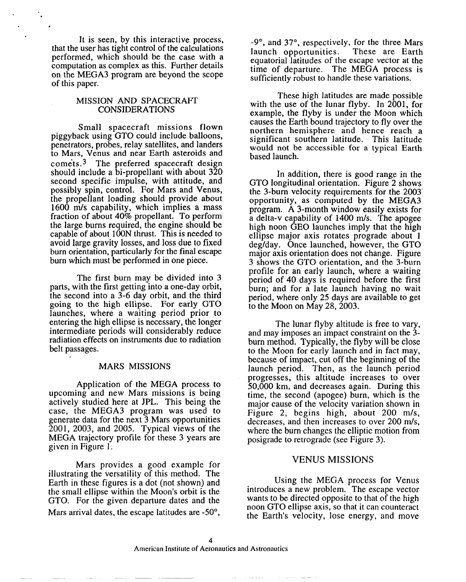It is seen, by this interactive process, that the user has tight control of the calculations performed, which should be the case with a computation as complex as this. Further details on the MEGA3 program are beyond the scope of this paper.

# MISSION AND SPACECRAFT CONSIDERATIONS

Small spacecraft missions flown piggyback using GTO could include balloons, penetrators, probes, relay satellites, and landers to Mars, Venus and near Earth asteroids and comets. 3 The preferred spacecraft design should include a bi-propellant with about 320 second specific impulse, with attitude, and possibly spin, control. For Mars and Venus, the propellant loading should provide about 1600 m/s capability, which implies a mass fraction of about 40% propellant. To perform the large burns required, the engine should be capable of about 100N thrust. This is needed to avoid large gravity losses, and loss due to fixed burn orientation, particularly for the final escape burn which must be performed in one piece.

The first burn may be divided into 3 parts, with the first getting into a one-day orbit, the second into a 3-6 day orbit, and the third going to the high ellipse. For early GTO launches, where a waiting period prior to entering the high ellipse is necessary, the longer intermediate periods will considerably reduce radiation effects on instruments due to radiation belt passages.

# MARS MISSIONS

Application of the MEGA process to upcoming and new Mars missions is being actively studied here at JPL. This being the case, the MEGA3 program was used to generate data for the next 3 Mars opportunities 2001, 2003, and 2005. Typical views of the MEGA trajectory profile for these 3 years are given in Figure 1.

Mars provides a good example for illustrating the versatility of this method. The Earth in these figures is a dot (not shown) and the small ellipse within the Moon's orbit is the GTO. For the given departure dates and the Mars arrival dates, the escape latitudes are -50°,

-9°, and 37°, respectively, for the three Mars launch opportunities. These are Earth equatorial latitudes of the escape vector at the time of departure. The MEGA process is sufficiently robust to handle these variations.

These high latitudes are made possible with the use of the lunar flyby. In 2001, for example, the flyby is under the Moon which causes the Earth bound trajectory to fly over the northern hemisphere and hence reach a significant southern latitude. This latitude would not be accessible for a typical Earth based launch.

In addition, there is good range in the GTO longitudinal orientation. Figure 2 shows the 3-burn velocity requirements for the 2003' opportunity, as computed by the MEGA3 program. A 3-month window easily exists for a delta-v capability of 1400 m/s. The apogee high noon GEO launches imply that the high ellipse major axis rotates prograde about 1 deg/day. Once launched, however, the GTO ucgruay. Once faunched, however, the GTC major axis orientation does not change. Figure 3 shows the GTO orientation, and the 3-burn profile for an early launch, where a waiting period of 40 days is required before the first burn; and for a late launch having no wait period, where only 25 days are available to get to the Moon on May  $28$ ,  $2003$ .

The lunar flyby altitude is free to vary, and may imposes an impact constraint on the 3 burn method. Typically, the flyby will be close to the Moon for early launch and in fact may, because of impact, cut off the beginning of the launch period. Then, as the launch period progresses, this altitude increases to over 50,000 km, and decreases again. During this time, the second (apogee) burn, which is the major cause of the velocity variation shown in Figure 2, begins high, about 200 m/s, decreases, and then increases to over 200 m/s, where the burn changes the elliptic motion from posigrade to retrograde (see Figure 3).

# VENUS MISSIONS

Using the MEGA process for Venus introduces a new problem. The escape vector wants to be directed opposite to that of the high noon GTO ellipse axis, so that it can counteract the Earth's velocity, lose energy, and move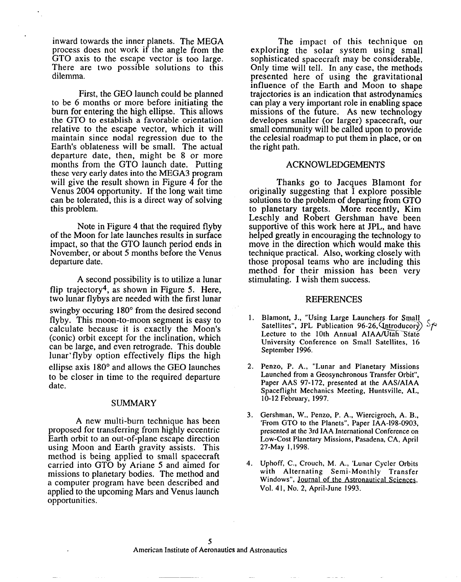inward towards the inner planets. The MEGA process does not work if the angle from the GTO axis to the escape vector is too large. There are two possible solutions to this dilemma.

First, the GEO launch could be planned to be 6 months or more before initiating the burn for entering the high ellipse. This allows the GTO to establish a favorable orientation relative to the escape vector, which it will maintain since nodal regression due to the Earth's oblateness will be small. The actual departure date, then, might be 8 or more months from the GTO launch date. Putting these very early dates into the MEGA3 program will give the result shown in Figure  $\overline{4}$  for the Venus 2004 opportunity. If the long wait time can be tolerated, this is a direct way of solving this problem.

Note in Figure 4 that the required flyby of the Moon for late launches results in surface impact, so that the GTO launch period ends in November, or about 5 months before the Venus departure date.

A second possibility is to utilize a lunar flip trajectory<sup>4</sup>, as shown in Figure 5. Here, two lunar flybys are needed with the first lunar swingby occuring 180° from the desired second flyby. This moon-to-moon segment is easy to calculate because it is exactly the Moon's (conic) orbit except for the inclination, which can be large, and even retrograde. This double lunar'flyby option effectively flips the high ellipse axis 180° and allows the GEO launches to be closer in time to the required departure date.

#### **SUMMARY**

A new multi-burn technique has been proposed for transferring from highly eccentric Earth orbit to an out-of-plane escape direction using Moon and Earth gravity assists. This method is being applied to small spacecraft carried into GTO by Ariane 5 and aimed for missions to planetary bodies. The method and a computer program have been described and applied to the upcoming Mars and Venus launch opportunities.

The impact of this technique on exploring the solar system using small sophisticated spacecraft may be considerable. Only time will tell. In any case, the methods presented here of using the gravitational influence of the Earth and Moon to shape trajectories is an indication that astrodynamics can play a very important role in enabling space missions of the future. As new technology developes smaller (or larger) spacecraft, our small community will be called upon to provide the celesial roadmap to put them in place, or on the right path.

#### ACKNOWLEDGEMENTS

Thanks go to Jacques Blamont for originally suggesting that I explore possible solutions to the problem of departing from GTO to planetary targets. More recently, Kim Leschly and Robert Gershman have been supportive of this work here at JPL, and have helped greatly in encouraging the technology to move in the direction which would make this technique practical. Also, working closely with those proposal teams who are including this method for their mission has been very stimulating. I wish them success.

# REFERENCES

- 1. Blamont, J., "Using Large Launchers for Small Satellites", JPL Publication 96-26,  $\text{Untroducory}$  > Lecture to the 10th Annual AIAA/Utah State University Conference on Small Satellites, 16 September 1996.
- 2. Penzo, P. A., "Lunar and Planetary Mission Launched from a Geosynchronous Transfer Orbit", Paper AAS 97-172, presented at the AAS/AIAA Spaceflight Mechanics Meeting, Huntsville, AL, 10-12 February, 1997.
- 3. Gershman, W., Penzo, P. A., Wiercigroch, A. B., 'From GTO to the Planets", Paper IAA-198-0903, presented at the 3rd IAA International Conference on Low-Cost Planetary Missions, Pasadena, CA, April 27-May 1,1998.
- 4. Uphoff, C., Crouch, M. A., 'Lunar Cycler Orbit with Alternating Semi-Monthly Transfer Windows", Journal of the Astronautical Sciences, Vol. 41, No. 2, April-June 1993.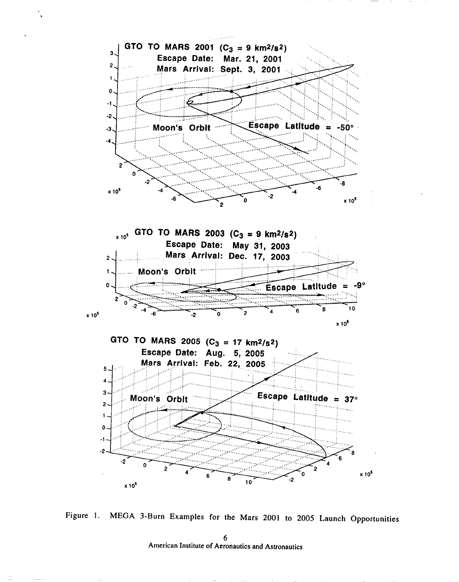

>



6 American Institute of Aeronautics and Astronautics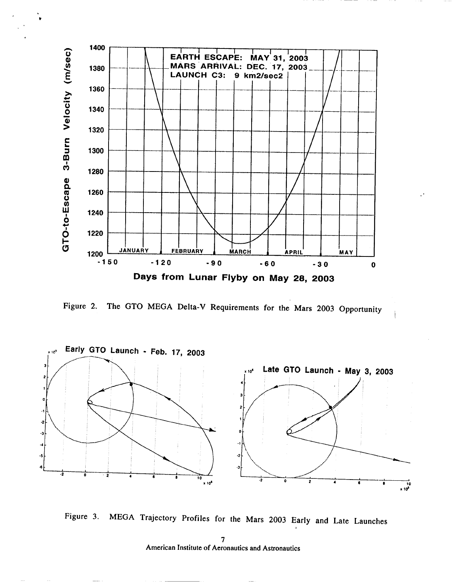

. ?

Figure 2. The GTO MEGA Delta-V Requirements for the Mars 2003 Opportunity



Figure 3. MEGA Trajectory Profiles for the Mars 2003 Early and Late Launches

7 American Institute of Aeronautics and Astronautics